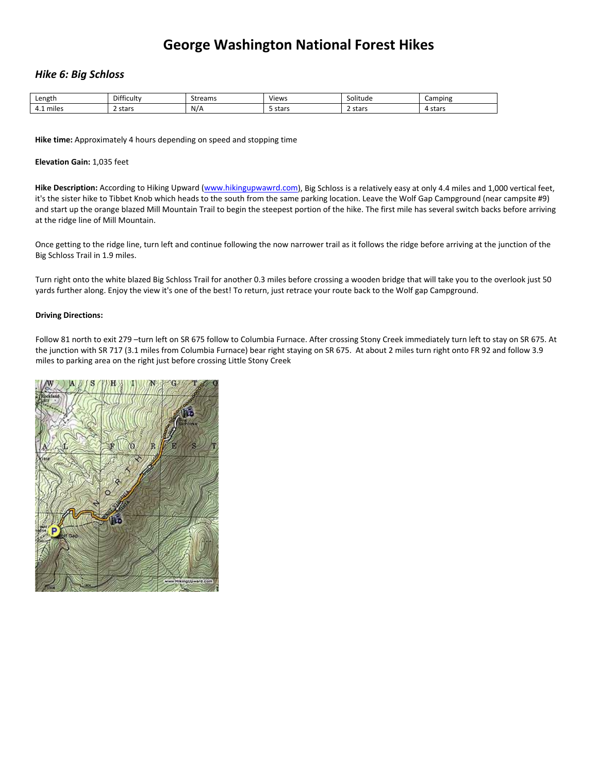# **George Washington National Forest Hikes**

### *Hike 6: Big Schloss*

| Length                               | $\sim$<br>Difficulty | trann<br>Streams | Views | $\cdots$<br>Solitude | Camping         |
|--------------------------------------|----------------------|------------------|-------|----------------------|-----------------|
| $\cdot$ .<br>-<br>miles<br>. .<br>__ | stars<br>.           | N/A              | stars | ∠ stars<br>.         | stars<br>"<br>. |

**Hike time:** Approximately 4 hours depending on speed and stopping time

### **Elevation Gain:** 1,035 feet

**Hike Description:** According to Hiking Upward [\(www.hikingupwawrd.com](http://www.hikingupwawrd.com/)), Big Schloss is a relatively easy at only 4.4 miles and 1,000 vertical feet, it's the sister hike to Tibbet Knob which heads to the south from the same parking location. Leave the Wolf Gap Campground (near campsite #9) and start up the orange blazed Mill Mountain Trail to begin the steepest portion of the hike. The first mile has several switch backs before arriving at the ridge line of Mill Mountain.

Once getting to the ridge line, turn left and continue following the now narrower trail as it follows the ridge before arriving at the junction of the Big Schloss Trail in 1.9 miles.

Turn right onto the white blazed Big Schloss Trail for another 0.3 miles before crossing a wooden bridge that will take you to the overlook just 50 yards further along. Enjoy the view it's one of the best! To return, just retrace your route back to the Wolf gap Campground.

### **Driving Directions:**

Follow 81 north to exit 279 –turn left on SR 675 follow to Columbia Furnace. After crossing Stony Creek immediately turn left to stay on SR 675. At the junction with SR 717 (3.1 miles from Columbia Furnace) bear right staying on SR 675. At about 2 miles turn right onto FR 92 and follow 3.9 miles to parking area on the right just before crossing Little Stony Creek

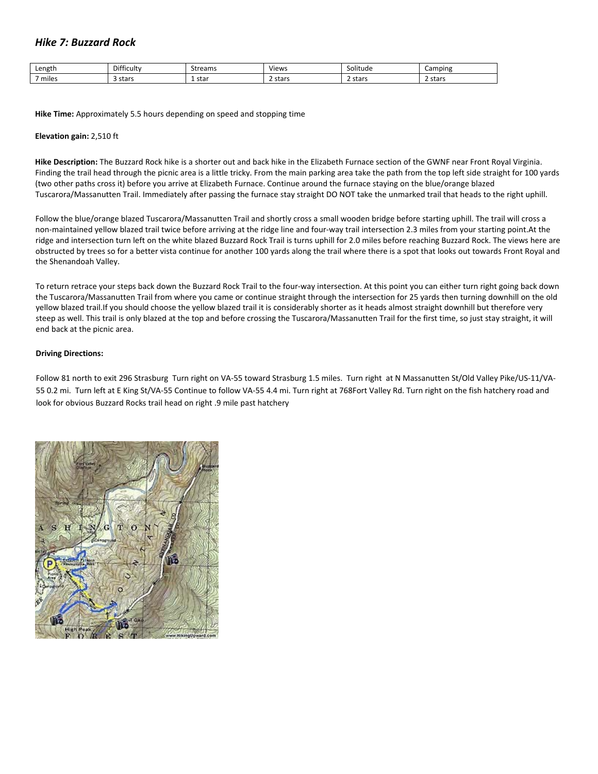# *Hike 7: Buzzard Rock*

| Length                                  | $\mathbf{r}$<br>Difficulty | Streams     | Views        | .<br>Solitude | Camping      |
|-----------------------------------------|----------------------------|-------------|--------------|---------------|--------------|
| $\overline{\phantom{0}}$<br>miles<br>__ | stars                      | . star<br>. | ∠ stars<br>. | 2 stars       | 2 stars<br>. |

**Hike Time:** Approximately 5.5 hours depending on speed and stopping time

### **Elevation gain:** 2,510 ft

**Hike Description:** The Buzzard Rock hike is a shorter out and back hike in the Elizabeth Furnace section of the GWNF near Front Royal Virginia. Finding the trail head through the picnic area is a little tricky. From the main parking area take the path from the top left side straight for 100 yards (two other paths cross it) before you arrive at Elizabeth Furnace. Continue around the furnace staying on the blue/orange blazed Tuscarora/Massanutten Trail. Immediately after passing the furnace stay straight DO NOT take the unmarked trail that heads to the right uphill.

Follow the blue/orange blazed Tuscarora/Massanutten Trail and shortly cross a small wooden bridge before starting uphill. The trail will cross a non-maintained yellow blazed trail twice before arriving at the ridge line and four-way trail intersection 2.3 miles from your starting point.At the ridge and intersection turn left on the white blazed Buzzard Rock Trail is turns uphill for 2.0 miles before reaching Buzzard Rock. The views here are obstructed by trees so for a better vista continue for another 100 yards along the trail where there is a spot that looks out towards Front Royal and the Shenandoah Valley.

To return retrace your steps back down the Buzzard Rock Trail to the four-way intersection. At this point you can either turn right going back down the Tuscarora/Massanutten Trail from where you came or continue straight through the intersection for 25 yards then turning downhill on the old yellow blazed trail.If you should choose the yellow blazed trail it is considerably shorter as it heads almost straight downhill but therefore very steep as well. This trail is only blazed at the top and before crossing the Tuscarora/Massanutten Trail for the first time, so just stay straight, it will end back at the picnic area.

### **Driving Directions:**

Follow 81 north to exit 296 Strasburg Turn right on VA‐55 toward Strasburg 1.5 miles. Turn right at N Massanutten St/Old Valley Pike/US‐11/VA‐ 55 0.2 mi. Turn left at E King St/VA‐55 Continue to follow VA‐55 4.4 mi. Turn right at 768Fort Valley Rd. Turn right on the fish hatchery road and look for obvious Buzzard Rocks trail head on right .9 mile past hatchery

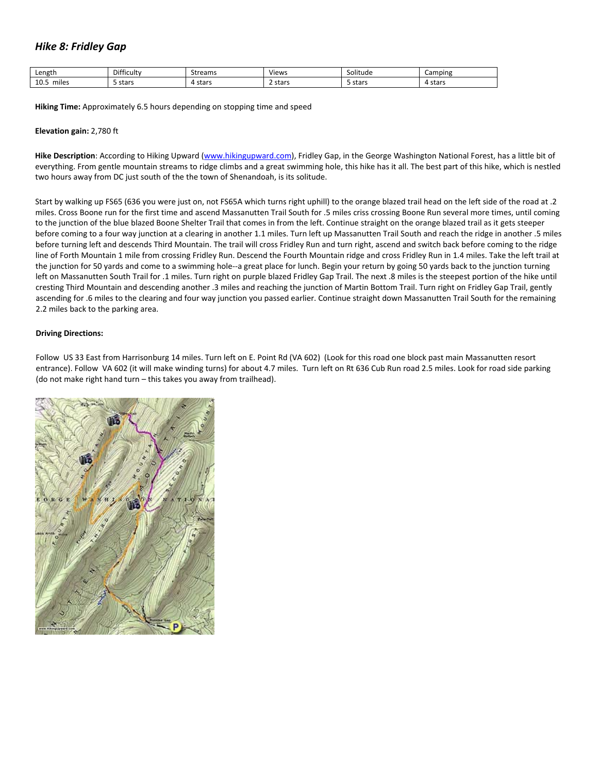## *Hike 8: Fridley Gap*

| Length                         | ticulty<br>Dit | ------<br>eaus    | Views        | <br>Solitude<br>⊾ە⊷  | Camping            |
|--------------------------------|----------------|-------------------|--------------|----------------------|--------------------|
| 10.5<br><br>miles<br>__<br>___ | stars          | $-$<br>stais<br>. | 2 stars<br>. | ----<br>stars<br>- 4 | $-$<br>stars.<br>. |

**Hiking Time:** Approximately 6.5 hours depending on stopping time and speed

### **Elevation gain:** 2,780 ft

**Hike Description**: According to Hiking Upward ([www.hikingupward.com\)](http://www.hikingupward.com/), Fridley Gap, in the George Washington National Forest, has a little bit of everything. From gentle mountain streams to ridge climbs and a great swimming hole, this hike has it all. The best part of this hike, which is nestled two hours away from DC just south of the the town of Shenandoah, is its solitude.

Start by walking up FS65 (636 you were just on, not FS65A which turns right uphill) to the orange blazed trail head on the left side of the road at .2 miles. Cross Boone run for the first time and ascend Massanutten Trail South for .5 miles criss crossing Boone Run several more times, until coming to the junction of the blue blazed Boone Shelter Trail that comes in from the left. Continue straight on the orange blazed trail as it gets steeper before coming to a four way junction at a clearing in another 1.1 miles. Turn left up Massanutten Trail South and reach the ridge in another .5 miles before turning left and descends Third Mountain. The trail will cross Fridley Run and turn right, ascend and switch back before coming to the ridge line of Forth Mountain 1 mile from crossing Fridley Run. Descend the Fourth Mountain ridge and cross Fridley Run in 1.4 miles. Take the left trail at the junction for 50 yards and come to a swimming hole‐‐a great place for lunch. Begin your return by going 50 yards back to the junction turning left on Massanutten South Trail for .1 miles. Turn right on purple blazed Fridley Gap Trail. The next .8 miles is the steepest portion of the hike until cresting Third Mountain and descending another .3 miles and reaching the junction of Martin Bottom Trail. Turn right on Fridley Gap Trail, gently ascending for .6 miles to the clearing and four way junction you passed earlier. Continue straight down Massanutten Trail South for the remaining 2.2 miles back to the parking area.

### **Driving Directions:**

Follow US 33 East from Harrisonburg 14 miles. Turn left on E. Point Rd (VA 602) (Look for this road one block past main Massanutten resort entrance). Follow VA 602 (it will make winding turns) for about 4.7 miles. Turn left on Rt 636 Cub Run road 2.5 miles. Look for road side parking (do not make right hand turn – this takes you away from trailhead).

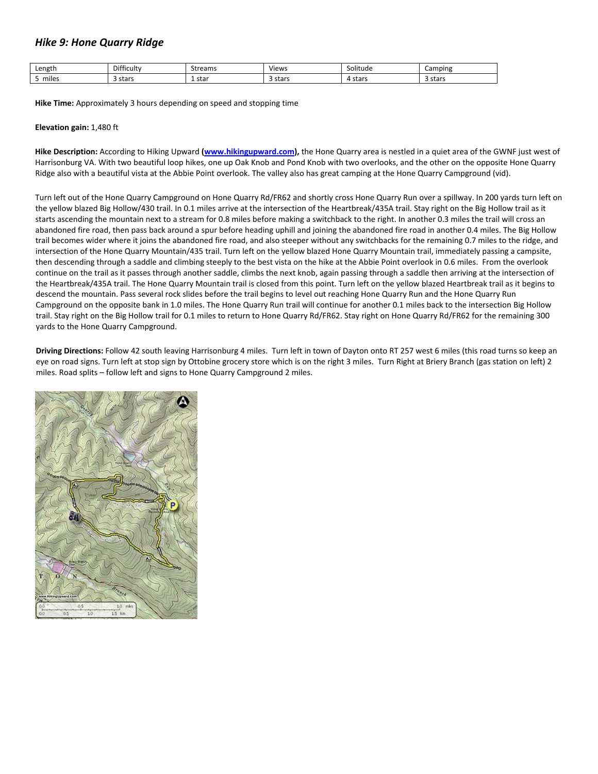# *Hike 9: Hone Quarry Ridge*

| Length    | $\mathbf{r}$<br>Difficulty | Streams     | Views | .<br>Solitude | Camping        |
|-----------|----------------------------|-------------|-------|---------------|----------------|
| <br>miles | stars                      | 1 star<br>. | stars | stars<br>-4   | ; stars<br>- 4 |

**Hike Time:** Approximately 3 hours depending on speed and stopping time

### **Elevation gain:** 1,480 ft

**Hike Description:** According to Hiking Upward **[\(www.hikingupward.com\)](http://www.hikingupward.com/),** the Hone Quarry area is nestled in a quiet area of the GWNF just west of Harrisonburg VA. With two beautiful loop hikes, one up Oak Knob and Pond Knob with two overlooks, and the other on the opposite Hone Quarry Ridge also with a beautiful vista at the Abbie Point overlook. The valley also has great camping at the Hone Quarry Campground (vid).

Turn left out of the Hone Quarry Campground on Hone Quarry Rd/FR62 and shortly cross Hone Quarry Run over a spillway. In 200 yards turn left on the yellow blazed Big Hollow/430 trail. In 0.1 miles arrive at the intersection of the Heartbreak/435A trail. Stay right on the Big Hollow trail as it starts ascending the mountain next to a stream for 0.8 miles before making a switchback to the right. In another 0.3 miles the trail will cross an abandoned fire road, then pass back around a spur before heading uphill and joining the abandoned fire road in another 0.4 miles. The Big Hollow trail becomes wider where it joins the abandoned fire road, and also steeper without any switchbacks for the remaining 0.7 miles to the ridge, and intersection of the Hone Quarry Mountain/435 trail. Turn left on the yellow blazed Hone Quarry Mountain trail, immediately passing a campsite, then descending through a saddle and climbing steeply to the best vista on the hike at the Abbie Point overlook in 0.6 miles. From the overlook continue on the trail as it passes through another saddle, climbs the next knob, again passing through a saddle then arriving at the intersection of the Heartbreak/435A trail. The Hone Quarry Mountain trail is closed from this point. Turn left on the yellow blazed Heartbreak trail as it begins to descend the mountain. Pass several rock slides before the trail begins to level out reaching Hone Quarry Run and the Hone Quarry Run Campground on the opposite bank in 1.0 miles. The Hone Quarry Run trail will continue for another 0.1 miles back to the intersection Big Hollow trail. Stay right on the Big Hollow trail for 0.1 miles to return to Hone Quarry Rd/FR62. Stay right on Hone Quarry Rd/FR62 for the remaining 300 yards to the Hone Quarry Campground.

**Driving Directions:** Follow 42 south leaving Harrisonburg 4 miles. Turn left in town of Dayton onto RT 257 west 6 miles (this road turns so keep an eye on road signs. Turn left at stop sign by Ottobine grocery store which is on the right 3 miles. Turn Right at Briery Branch (gas station on left) 2 miles. Road splits – follow left and signs to Hone Quarry Campground 2 miles.

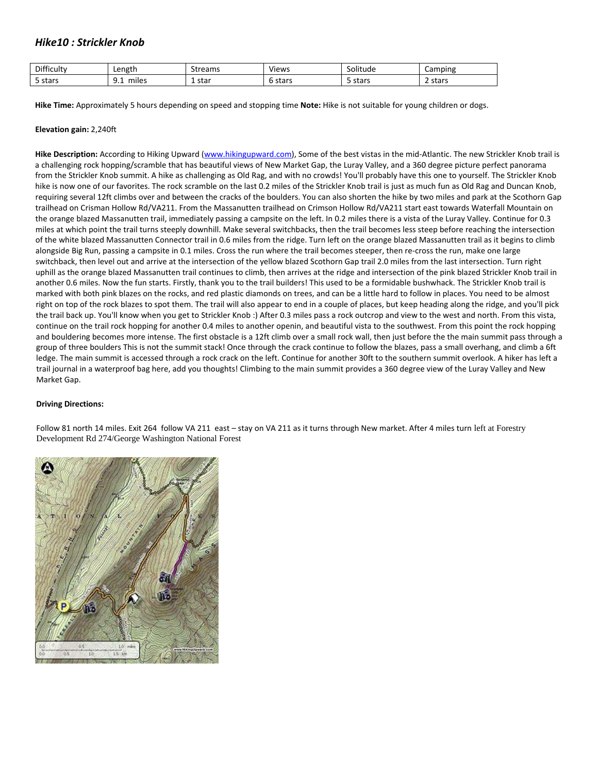# *Hike10 : Strickler Knob*

| Difficulty | ∟ength | Streams | .<br>Views    | .<br>Solitude        | Camping |
|------------|--------|---------|---------------|----------------------|---------|
| 5 stars    | miles  | 1 star  | $ -$<br>stars | $ -$<br><b>blaib</b> | 2 stars |

**Hike Time:** Approximately 5 hours depending on speed and stopping time **Note:** Hike is not suitable for young children or dogs.

### **Elevation gain:** 2,240ft

**Hike Description:** According to Hiking Upward [\(www.hikingupward.com\)](http://www.hikingupward.com/), Some of the best vistas in the mid‐Atlantic. The new Strickler Knob trail is a challenging rock hopping/scramble that has beautiful views of New Market Gap, the Luray Valley, and a 360 degree picture perfect panorama from the Strickler Knob summit. A hike as challenging as Old Rag, and with no crowds! You'll probably have this one to yourself. The Strickler Knob hike is now one of our favorites. The rock scramble on the last 0.2 miles of the Strickler Knob trail is just as much fun as Old Rag and Duncan Knob, requiring several 12ft climbs over and between the cracks of the boulders. You can also shorten the hike by two miles and park at the Scothorn Gap trailhead on Crisman Hollow Rd/VA211. From the Massanutten trailhead on Crimson Hollow Rd/VA211 start east towards Waterfall Mountain on the orange blazed Massanutten trail, immediately passing a campsite on the left. In 0.2 miles there is a vista of the Luray Valley. Continue for 0.3 miles at which point the trail turns steeply downhill. Make several switchbacks, then the trail becomes less steep before reaching the intersection of the white blazed Massanutten Connector trail in 0.6 miles from the ridge. Turn left on the orange blazed Massanutten trail as it begins to climb alongside Big Run, passing a campsite in 0.1 miles. Cross the run where the trail becomes steeper, then re-cross the run, make one large switchback, then level out and arrive at the intersection of the yellow blazed Scothorn Gap trail 2.0 miles from the last intersection. Turn right uphill as the orange blazed Massanutten trail continues to climb, then arrives at the ridge and intersection of the pink blazed Strickler Knob trail in another 0.6 miles. Now the fun starts. Firstly, thank you to the trail builders! This used to be a formidable bushwhack. The Strickler Knob trail is marked with both pink blazes on the rocks, and red plastic diamonds on trees, and can be a little hard to follow in places. You need to be almost right on top of the rock blazes to spot them. The trail will also appear to end in a couple of places, but keep heading along the ridge, and you'll pick the trail back up. You'll know when you get to Strickler Knob :) After 0.3 miles pass a rock outcrop and view to the west and north. From this vista, continue on the trail rock hopping for another 0.4 miles to another openin, and beautiful vista to the southwest. From this point the rock hopping and bouldering becomes more intense. The first obstacle is a 12ft climb over a small rock wall, then just before the the main summit pass through a group of three boulders This is not the summit stack! Once through the crack continue to follow the blazes, pass a small overhang, and climb a 6ft ledge. The main summit is accessed through a rock crack on the left. Continue for another 30ft to the southern summit overlook. A hiker has left a trail journal in a waterproof bag here, add you thoughts! Climbing to the main summit provides a 360 degree view of the Luray Valley and New Market Gap.

### **Driving Directions:**

Follow 81 north 14 miles. Exit 264 follow VA 211 east – stay on VA 211 as it turns through New market. After 4 miles turn left at Forestry Development Rd 274/George Washington National Forest

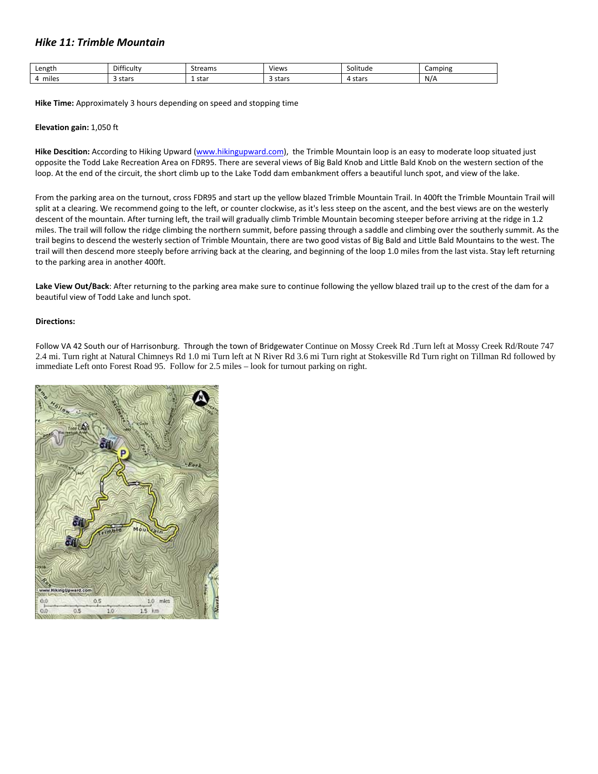## *Hike 11: Trimble Mountain*

| Length    | $- \cdot$<br>Difficulty | trann<br>ى را د<br>reanns | Views        | $\cdots$<br>Solitude | Camping |
|-----------|-------------------------|---------------------------|--------------|----------------------|---------|
| <br>miles | stars                   | $-+ - -$<br>sldi<br>.     | stars<br>- - | stars                | N/A     |

**Hike Time:** Approximately 3 hours depending on speed and stopping time

### **Elevation gain:** 1,050 ft

**Hike Descition:** According to Hiking Upward [\(www.hikingupward.com\)](http://www.hikingupward.com/), the Trimble Mountain loop is an easy to moderate loop situated just opposite the Todd Lake Recreation Area on FDR95. There are several views of Big Bald Knob and Little Bald Knob on the western section of the loop. At the end of the circuit, the short climb up to the Lake Todd dam embankment offers a beautiful lunch spot, and view of the lake.

From the parking area on the turnout, cross FDR95 and start up the yellow blazed Trimble Mountain Trail. In 400ft the Trimble Mountain Trail will split at a clearing. We recommend going to the left, or counter clockwise, as it's less steep on the ascent, and the best views are on the westerly descent of the mountain. After turning left, the trail will gradually climb Trimble Mountain becoming steeper before arriving at the ridge in 1.2 miles. The trail will follow the ridge climbing the northern summit, before passing through a saddle and climbing over the southerly summit. As the trail begins to descend the westerly section of Trimble Mountain, there are two good vistas of Big Bald and Little Bald Mountains to the west. The trail will then descend more steeply before arriving back at the clearing, and beginning of the loop 1.0 miles from the last vista. Stay left returning to the parking area in another 400ft.

**Lake View Out/Back**: After returning to the parking area make sure to continue following the yellow blazed trail up to the crest of the dam for a beautiful view of Todd Lake and lunch spot.

### **Directions:**

Follow VA 42 South our of Harrisonburg. Through the town of Bridgewater Continue on Mossy Creek Rd .Turn left at Mossy Creek Rd/Route 747 2.4 mi. Turn right at Natural Chimneys Rd 1.0 mi Turn left at N River Rd 3.6 mi Turn right at Stokesville Rd Turn right on Tillman Rd followed by immediate Left onto Forest Road 95. Follow for 2.5 miles – look for turnout parking on right.